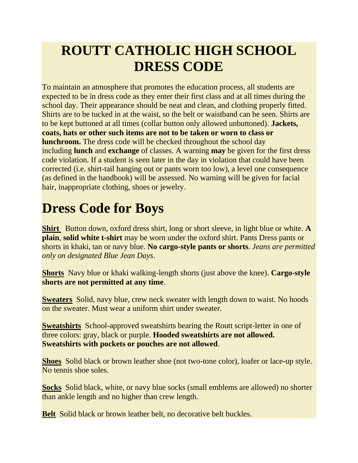### **ROUTT CATHOLIC HIGH SCHOOL DRESS CODE**

To maintain an atmosphere that promotes the education process, all students are expected to be in dress code as they enter their first class and at all times during the school day. Their appearance should be neat and clean, and clothing properly fitted. Shirts are to be tucked in at the waist, so the belt or waistband can be seen. Shirts are to be kept buttoned at all times (collar button only allowed unbuttoned). **Jackets, coats, hats or other such items are not to be taken or worn to class or lunchroom.** The dress code will be checked throughout the school day including **lunch** and **exchange** of classes. A warning **may** be given for the first dress code violation. If a student is seen later in the day in violation that could have been corrected (i.e. shirt-tail hanging out or pants worn too low), a level one consequence (as defined in the handbook) will be assessed. No warning will be given for facial hair, inappropriate clothing, shoes or jewelry.

# **Dress Code for Boys**

**Shirt** Button down, oxford dress shirt, long or short sleeve, in light blue or white. **A plain**, **solid white t-shirt** may be worn under the oxford shirt. Pants Dress pants or shorts in khaki, tan or navy blue. **No cargo-style pants or shorts**. *Jeans are permitted only on designated Blue Jean Days*.

**Shorts** Navy blue or khaki walking-length shorts (just above the knee). **Cargo-style shorts are not permitted at any time**.

**Sweaters** Solid, navy blue, crew neck sweater with length down to waist. No hoods on the sweater. Must wear a uniform shirt under sweater.

**Sweatshirts** School-approved sweatshirts bearing the Routt script-letter in one of three colors: gray, black or purple. **Hooded sweatshirts are not allowed. Sweatshirts with pockets or pouches are not allowed**.

**Shoes** Solid black or brown leather shoe (not two-tone color), loafer or lace-up style. No tennis shoe soles.

**Socks** Solid black, white, or navy blue socks (small emblems are allowed) no shorter than ankle length and no higher than crew length.

**Belt** Solid black or brown leather belt, no decorative belt buckles.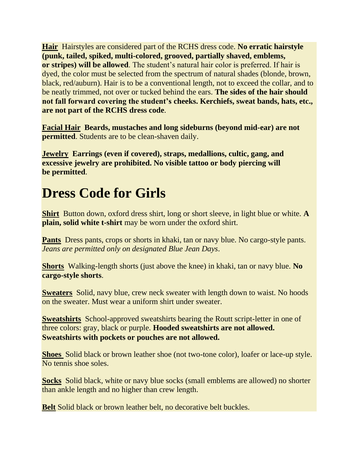**Hair** Hairstyles are considered part of the RCHS dress code. **No erratic hairstyle (punk, tailed, spiked, multi-colored, grooved, partially shaved, emblems, or stripes) will be allowed**. The student's natural hair color is preferred. If hair is dyed, the color must be selected from the spectrum of natural shades (blonde, brown, black, red/auburn). Hair is to be a conventional length, not to exceed the collar, and to be neatly trimmed, not over or tucked behind the ears. **The sides of the hair should not fall forward covering the student's cheeks. Kerchiefs, sweat bands, hats, etc., are not part of the RCHS dress code**.

**Facial Hair Beards, mustaches and long sideburns (beyond mid-ear) are not permitted**. Students are to be clean-shaven daily.

**Jewelry Earrings (even if covered), straps, medallions, cultic, gang, and excessive jewelry are prohibited. No visible tattoo or body piercing will be permitted**.

## **Dress Code for Girls**

**Shirt** Button down, oxford dress shirt, long or short sleeve, in light blue or white. **A plain, solid white t-shirt** may be worn under the oxford shirt.

**Pants** Dress pants, crops or shorts in khaki, tan or navy blue. No cargo-style pants. *Jeans are permitted only on designated Blue Jean Days*.

**Shorts** Walking-length shorts (just above the knee) in khaki, tan or navy blue. **No cargo-style shorts**.

**Sweaters** Solid, navy blue, crew neck sweater with length down to waist. No hoods on the sweater. Must wear a uniform shirt under sweater.

**Sweatshirts** School-approved sweatshirts bearing the Routt script-letter in one of three colors: gray, black or purple. **Hooded sweatshirts are not allowed. Sweatshirts with pockets or pouches are not allowed.**

**Shoes** Solid black or brown leather shoe (not two-tone color), loafer or lace-up style. No tennis shoe soles.

**Socks** Solid black, white or navy blue socks (small emblems are allowed) no shorter than ankle length and no higher than crew length.

**Belt** Solid black or brown leather belt, no decorative belt buckles.